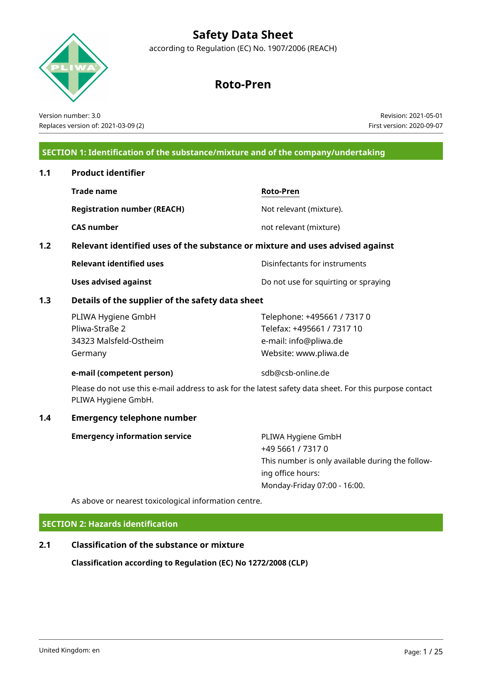according to Regulation (EC) No. 1907/2006 (REACH)

# **Roto-Pren**

Version number: 3.0 Replaces version of: 2021-03-09 (2)

Revision: 2021-05-01 First version: 2020-09-07

# **SECTION 1: Identification of the substance/mixture and of the company/undertaking**

# **1.1 Product identifier Trade name Roto-Pren Registration number (REACH)** Not relevant (mixture). **CAS number** not relevant (mixture) **1.2 Relevant identified uses of the substance or mixture and uses advised against Relevant identified uses** The Disinfectants for instruments **Uses advised against Do not use for squirting or spraying 1.3 Details of the supplier of the safety data sheet** PLIWA Hygiene GmbH Pliwa-Straße 2 34323 Malsfeld-Ostheim Germany Telephone: +495661 / 7317 0 Telefax: +495661 / 7317 10 e-mail: info@pliwa.de Website: www.pliwa.de **e-mail (competent person)** sdb@csb-online.de Please do not use this e-mail address to ask for the latest safety data sheet. For this purpose contact PLIWA Hygiene GmbH. **1.4 Emergency telephone number Emergency information service** PLIWA Hygiene GmbH +49 5661 / 7317 0 This number is only available during the following office hours: Monday-Friday 07:00 - 16:00.

As above or nearest toxicological information centre.

**SECTION 2: Hazards identification**

# **2.1 Classification of the substance or mixture**

**Classification according to Regulation (EC) No 1272/2008 (CLP)**

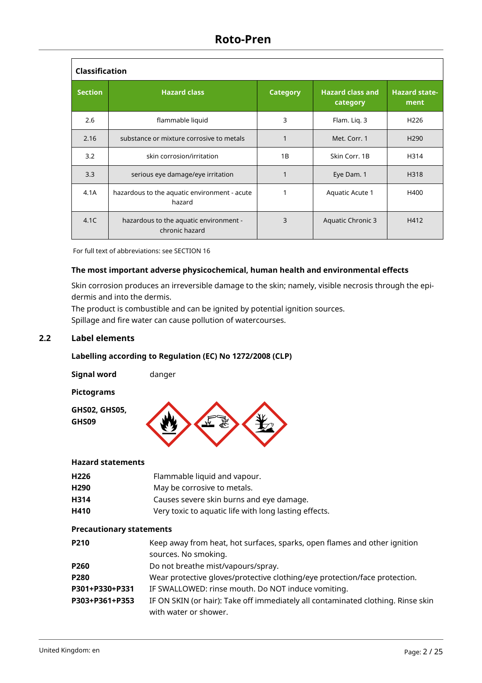| <b>Classification</b> |                                                          |                 |                                     |                              |
|-----------------------|----------------------------------------------------------|-----------------|-------------------------------------|------------------------------|
| <b>Section</b>        | <b>Hazard class</b>                                      | <b>Category</b> | <b>Hazard class and</b><br>category | <b>Hazard state-</b><br>ment |
| 2.6                   | flammable liquid                                         | 3               | Flam. Lig. 3                        | H <sub>226</sub>             |
| 2.16                  | substance or mixture corrosive to metals                 |                 | Met. Corr. 1                        | H <sub>290</sub>             |
| 3.2                   | skin corrosion/irritation                                | 1B              | Skin Corr, 1B                       | H314                         |
| 3.3                   | serious eye damage/eye irritation                        |                 | Eye Dam. 1                          | H318                         |
| 4.1A                  | hazardous to the aquatic environment - acute<br>hazard   |                 | Aquatic Acute 1                     | H400                         |
| 4.1C                  | hazardous to the aquatic environment -<br>chronic hazard | 3               | Aquatic Chronic 3                   | H412                         |

For full text of abbreviations: see SECTION 16

## **The most important adverse physicochemical, human health and environmental effects**

Skin corrosion produces an irreversible damage to the skin; namely, visible necrosis through the epidermis and into the dermis.

The product is combustible and can be ignited by potential ignition sources. Spillage and fire water can cause pollution of watercourses.

# **2.2 Label elements**

# **Labelling according to Regulation (EC) No 1272/2008 (CLP)**

| <b>Signal word</b>       | danger |
|--------------------------|--------|
| <b>Pictograms</b>        |        |
| GHS02, GHS05,<br>GHS09   |        |
| <b>Hazard statements</b> |        |

#### **Hazard statements**

| H <sub>226</sub>                | Flammable liquid and vapour.                                                                              |
|---------------------------------|-----------------------------------------------------------------------------------------------------------|
| H <sub>290</sub>                | May be corrosive to metals.                                                                               |
| H314                            | Causes severe skin burns and eye damage.                                                                  |
| H410                            | Very toxic to aquatic life with long lasting effects.                                                     |
| <b>Precautionary statements</b> |                                                                                                           |
| P210                            | Keep away from heat, hot surfaces, sparks, open flames and other ignition<br>sources. No smoking.         |
| P260                            | Do not breathe mist/vapours/spray.                                                                        |
| P280                            | Wear protective gloves/protective clothing/eye protection/face protection.                                |
| P301+P330+P331                  | IF SWALLOWED: rinse mouth. Do NOT induce vomiting.                                                        |
| P303+P361+P353                  | IF ON SKIN (or hair): Take off immediately all contaminated clothing. Rinse skin<br>with water or shower. |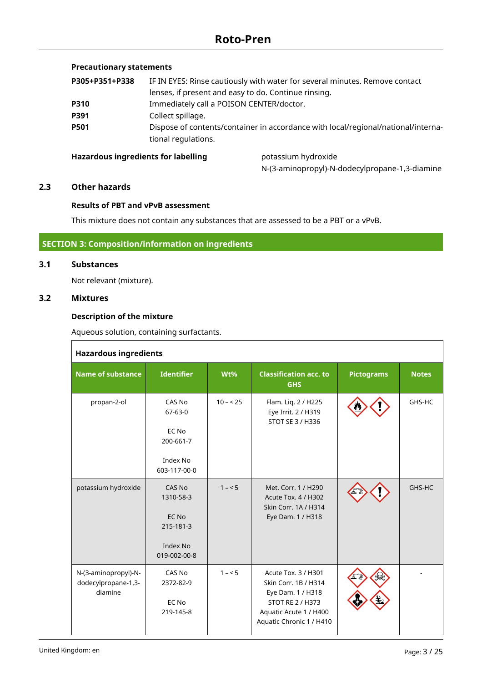# **Precautionary statements**

| P305+P351+P338 | IF IN EYES: Rinse cautiously with water for several minutes. Remove contact                              |
|----------------|----------------------------------------------------------------------------------------------------------|
|                | lenses, if present and easy to do. Continue rinsing.                                                     |
| P310           | Immediately call a POISON CENTER/doctor.                                                                 |
| P391           | Collect spillage.                                                                                        |
| <b>P501</b>    | Dispose of contents/container in accordance with local/regional/national/interna-<br>tional regulations. |
|                |                                                                                                          |

### Hazardous ingredients for labelling **process of a processium** hydroxide

N-(3-aminopropyl)-N-dodecylpropane-1,3-diamine

### **2.3 Other hazards**

#### **Results of PBT and vPvB assessment**

This mixture does not contain any substances that are assessed to be a PBT or a vPvB.

## **SECTION 3: Composition/information on ingredients**

### **3.1 Substances**

Not relevant (mixture).

### **3.2 Mixtures**

### **Description of the mixture**

Aqueous solution, containing surfactants.

| <b>Hazardous ingredients</b>                           |                                                                           |            |                                                                                                                                                   |                   |              |  |  |
|--------------------------------------------------------|---------------------------------------------------------------------------|------------|---------------------------------------------------------------------------------------------------------------------------------------------------|-------------------|--------------|--|--|
| Name of substance                                      | <b>Identifier</b>                                                         | Wt%        | <b>Classification acc. to</b><br><b>GHS</b>                                                                                                       | <b>Pictograms</b> | <b>Notes</b> |  |  |
| propan-2-ol                                            | CAS No<br>$67 - 63 - 0$<br>EC No<br>200-661-7<br>Index No<br>603-117-00-0 | $10 - 525$ | Flam. Liq. 2 / H225<br>Eye Irrit. 2 / H319<br>STOT SE 3 / H336                                                                                    |                   | GHS-HC       |  |  |
| potassium hydroxide                                    | CAS No<br>1310-58-3<br>EC No<br>215-181-3<br>Index No<br>019-002-00-8     | $1 - 5$    | Met. Corr. 1 / H290<br>Acute Tox. 4 / H302<br>Skin Corr. 1A / H314<br>Eye Dam. 1 / H318                                                           |                   | GHS-HC       |  |  |
| N-(3-aminopropyl)-N-<br>dodecylpropane-1,3-<br>diamine | CAS No<br>2372-82-9<br>EC No<br>219-145-8                                 | $1 - 5$    | Acute Tox. 3 / H301<br>Skin Corr. 1B / H314<br>Eye Dam. 1 / H318<br><b>STOT RE 2 / H373</b><br>Aquatic Acute 1 / H400<br>Aquatic Chronic 1 / H410 |                   |              |  |  |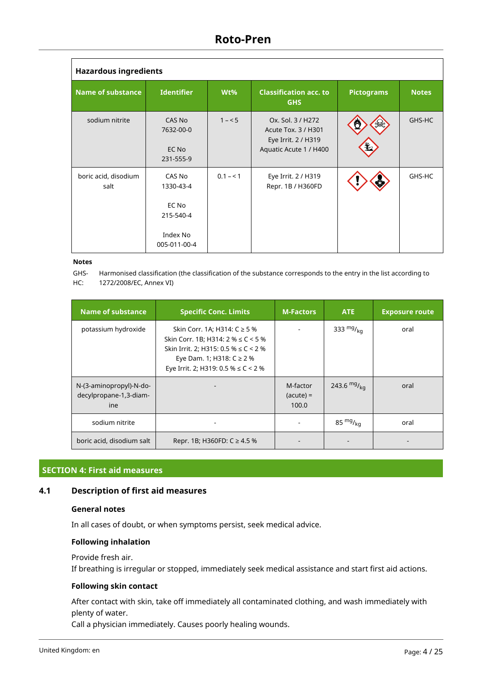| <b>Hazardous ingredients</b> |                                                                       |           |                                                                                           |                   |              |  |  |
|------------------------------|-----------------------------------------------------------------------|-----------|-------------------------------------------------------------------------------------------|-------------------|--------------|--|--|
| <b>Name of substance</b>     | <b>Identifier</b>                                                     | Wt%       | <b>Classification acc. to</b><br><b>GHS</b>                                               | <b>Pictograms</b> | <b>Notes</b> |  |  |
| sodium nitrite               | CAS No<br>7632-00-0<br>EC No<br>231-555-9                             | $1 - 5$   | Ox. Sol. 3 / H272<br>Acute Tox. 3 / H301<br>Eye Irrit. 2 / H319<br>Aquatic Acute 1 / H400 | v.                | GHS-HC       |  |  |
| boric acid, disodium<br>salt | CAS No<br>1330-43-4<br>EC No<br>215-540-4<br>Index No<br>005-011-00-4 | $0.1 - 1$ | Eye Irrit. 2 / H319<br>Repr. 1B / H360FD                                                  | ₫₹                | GHS-HC       |  |  |

#### **Notes**

GHS-HC: Harmonised classification (the classification of the substance corresponds to the entry in the list according to 1272/2008/EC, Annex VI)

| <b>Name of substance</b>                                 | <b>Specific Conc. Limits</b>                                                                                                                                                                     | <b>M-Factors</b>                 | <b>ATE</b>       | <b>Exposure route</b> |
|----------------------------------------------------------|--------------------------------------------------------------------------------------------------------------------------------------------------------------------------------------------------|----------------------------------|------------------|-----------------------|
| potassium hydroxide                                      | Skin Corr. 1A; H314: C ≥ 5 %<br>Skin Corr. 1B; H314: $2\% \le C < 5\%$<br>Skin Irrit. 2; H315: 0.5 % $\leq$ C < 2 %<br>Eye Dam. 1; H318: $C \ge 2$ %<br>Eye Irrit. 2; H319: 0.5 % $\leq$ C < 2 % |                                  | 333 $mg/kq$      | oral                  |
| N-(3-aminopropyl)-N-do-<br>decylpropane-1,3-diam-<br>ine |                                                                                                                                                                                                  | M-factor<br>$(acute) =$<br>100.0 | 243.6 $mg/_{kq}$ | oral                  |
| sodium nitrite                                           |                                                                                                                                                                                                  |                                  | 85 $mg/_{ka}$    | oral                  |
| boric acid, disodium salt                                | Repr. 1B; H360FD: $C \ge 4.5$ %                                                                                                                                                                  |                                  |                  |                       |

### **SECTION 4: First aid measures**

# **4.1 Description of first aid measures**

### **General notes**

In all cases of doubt, or when symptoms persist, seek medical advice.

#### **Following inhalation**

#### Provide fresh air.

If breathing is irregular or stopped, immediately seek medical assistance and start first aid actions.

### **Following skin contact**

After contact with skin, take off immediately all contaminated clothing, and wash immediately with plenty of water.

Call a physician immediately. Causes poorly healing wounds.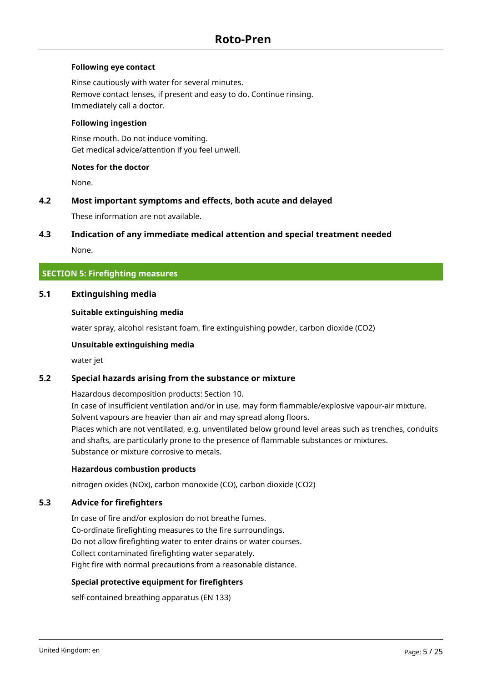## **Following eye contact**

Rinse cautiously with water for several minutes. Remove contact lenses, if present and easy to do. Continue rinsing. Immediately call a doctor.

### **Following ingestion**

Rinse mouth. Do not induce vomiting. Get medical advice/attention if you feel unwell.

### **Notes for the doctor**

None.

### **4.2 Most important symptoms and effects, both acute and delayed**

These information are not available.

### **4.3 Indication of any immediate medical attention and special treatment needed**

None.

## **SECTION 5: Firefighting measures**

### **5.1 Extinguishing media**

#### **Suitable extinguishing media**

water spray, alcohol resistant foam, fire extinguishing powder, carbon dioxide (CO2)

#### **Unsuitable extinguishing media**

water jet

### **5.2 Special hazards arising from the substance or mixture**

Hazardous decomposition products: Section 10.

In case of insufficient ventilation and/or in use, may form flammable/explosive vapour-air mixture. Solvent vapours are heavier than air and may spread along floors. Places which are not ventilated, e.g. unventilated below ground level areas such as trenches, conduits and shafts, are particularly prone to the presence of flammable substances or mixtures. Substance or mixture corrosive to metals.

#### **Hazardous combustion products**

nitrogen oxides (NOx), carbon monoxide (CO), carbon dioxide (CO2)

## **5.3 Advice for firefighters**

In case of fire and/or explosion do not breathe fumes. Co-ordinate firefighting measures to the fire surroundings. Do not allow firefighting water to enter drains or water courses. Collect contaminated firefighting water separately. Fight fire with normal precautions from a reasonable distance.

### **Special protective equipment for firefighters**

self-contained breathing apparatus (EN 133)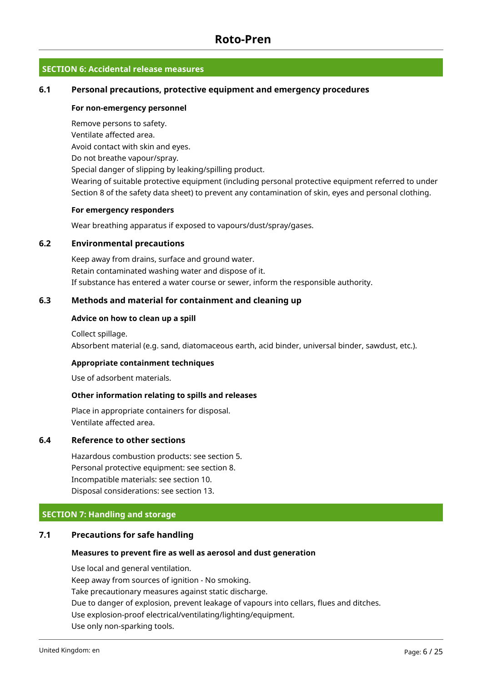# **SECTION 6: Accidental release measures**

### **6.1 Personal precautions, protective equipment and emergency procedures**

#### **For non-emergency personnel**

Remove persons to safety. Ventilate affected area. Avoid contact with skin and eyes. Do not breathe vapour/spray. Special danger of slipping by leaking/spilling product.

Wearing of suitable protective equipment (including personal protective equipment referred to under Section 8 of the safety data sheet) to prevent any contamination of skin, eyes and personal clothing.

### **For emergency responders**

Wear breathing apparatus if exposed to vapours/dust/spray/gases.

### **6.2 Environmental precautions**

Keep away from drains, surface and ground water. Retain contaminated washing water and dispose of it. If substance has entered a water course or sewer, inform the responsible authority.

### **6.3 Methods and material for containment and cleaning up**

### **Advice on how to clean up a spill**

Collect spillage. Absorbent material (e.g. sand, diatomaceous earth, acid binder, universal binder, sawdust, etc.).

### **Appropriate containment techniques**

Use of adsorbent materials.

### **Other information relating to spills and releases**

Place in appropriate containers for disposal. Ventilate affected area.

## **6.4 Reference to other sections**

Hazardous combustion products: see section 5. Personal protective equipment: see section 8. Incompatible materials: see section 10. Disposal considerations: see section 13.

### **SECTION 7: Handling and storage**

### **7.1 Precautions for safe handling**

#### **Measures to prevent fire as well as aerosol and dust generation**

Use local and general ventilation. Keep away from sources of ignition - No smoking. Take precautionary measures against static discharge. Due to danger of explosion, prevent leakage of vapours into cellars, flues and ditches. Use explosion-proof electrical/ventilating/lighting/equipment. Use only non-sparking tools.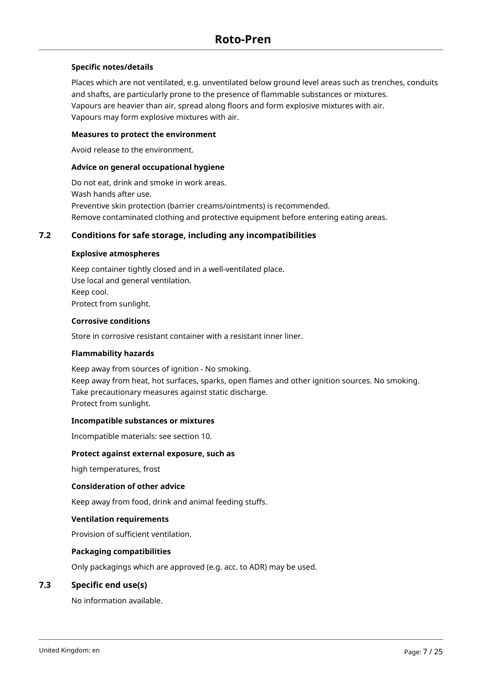### **Specific notes/details**

Places which are not ventilated, e.g. unventilated below ground level areas such as trenches, conduits and shafts, are particularly prone to the presence of flammable substances or mixtures. Vapours are heavier than air, spread along floors and form explosive mixtures with air. Vapours may form explosive mixtures with air.

### **Measures to protect the environment**

Avoid release to the environment.

### **Advice on general occupational hygiene**

Do not eat, drink and smoke in work areas. Wash hands after use. Preventive skin protection (barrier creams/ointments) is recommended. Remove contaminated clothing and protective equipment before entering eating areas.

## **7.2 Conditions for safe storage, including any incompatibilities**

### **Explosive atmospheres**

Keep container tightly closed and in a well-ventilated place. Use local and general ventilation. Keep cool. Protect from sunlight.

### **Corrosive conditions**

Store in corrosive resistant container with a resistant inner liner.

### **Flammability hazards**

Keep away from sources of ignition - No smoking. Keep away from heat, hot surfaces, sparks, open flames and other ignition sources. No smoking. Take precautionary measures against static discharge. Protect from sunlight.

### **Incompatible substances or mixtures**

Incompatible materials: see section 10.

#### **Protect against external exposure, such as**

high temperatures, frost

#### **Consideration of other advice**

Keep away from food, drink and animal feeding stuffs.

#### **Ventilation requirements**

Provision of sufficient ventilation.

### **Packaging compatibilities**

Only packagings which are approved (e.g. acc. to ADR) may be used.

### **7.3 Specific end use(s)**

No information available.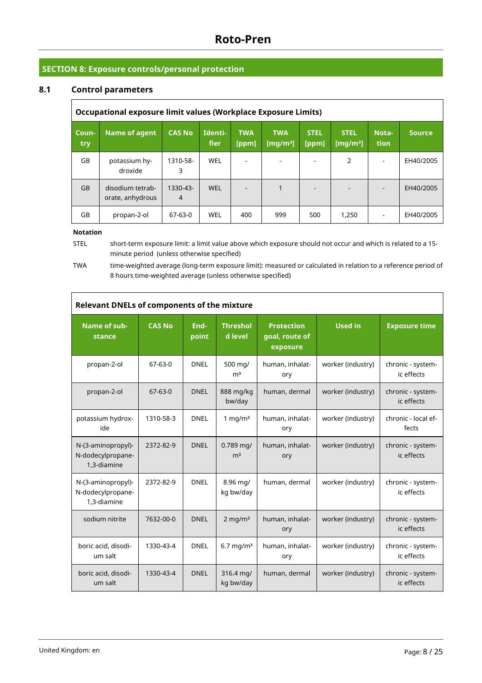# **SECTION 8: Exposure controls/personal protection**

# **8.1 Control parameters**

| Occupational exposure limit values (Workplace Exposure Limits) |                                      |                            |                 |                     |                           |                      |                            |               |               |
|----------------------------------------------------------------|--------------------------------------|----------------------------|-----------------|---------------------|---------------------------|----------------------|----------------------------|---------------|---------------|
| Coun-<br>try                                                   | Name of agent                        | <b>CAS No</b>              | Identi-<br>fier | <b>TWA</b><br>[ppm] | <b>TWA</b><br>[ $mq/m3$ ] | <b>STEL</b><br>[ppm] | <b>STEL</b><br>[ $mq/m3$ ] | Nota-<br>tion | <b>Source</b> |
| GB                                                             | potassium hy-<br>droxide             | 1310-58-<br>3              | WEL             |                     |                           |                      | 2                          |               | EH40/2005     |
| <b>GB</b>                                                      | disodium tetrab-<br>orate, anhydrous | 1330-43-<br>$\overline{4}$ | <b>WEL</b>      |                     |                           |                      |                            |               | EH40/2005     |
| GB                                                             | propan-2-ol                          | 67-63-0                    | WEL             | 400                 | 999                       | 500                  | 1,250                      |               | EH40/2005     |

#### **Notation**

STEL short-term exposure limit: a limit value above which exposure should not occur and which is related to a 15 minute period (unless otherwise specified)

TWA time-weighted average (long-term exposure limit): measured or calculated in relation to a reference period of 8 hours time-weighted average (unless otherwise specified)

| <b>Relevant DNELs of components of the mixture</b>     |               |               |                               |                                                 |                   |                                 |  |
|--------------------------------------------------------|---------------|---------------|-------------------------------|-------------------------------------------------|-------------------|---------------------------------|--|
| Name of sub-<br>stance                                 | <b>CAS No</b> | End-<br>point | <b>Threshol</b><br>d level    | <b>Protection</b><br>goal, route of<br>exposure | <b>Used in</b>    | <b>Exposure time</b>            |  |
| propan-2-ol                                            | $67 - 63 - 0$ | <b>DNEL</b>   | 500 mg/<br>m <sup>3</sup>     | human, inhalat-<br>ory                          | worker (industry) | chronic - system-<br>ic effects |  |
| propan-2-ol                                            | $67-63-0$     | <b>DNEL</b>   | 888 mg/kg<br>bw/day           | human, dermal                                   | worker (industry) | chronic - system-<br>ic effects |  |
| potassium hydrox-<br>ide                               | 1310-58-3     | <b>DNEL</b>   | 1 mg/ $m3$                    | human, inhalat-<br>ory                          | worker (industry) | chronic - local ef-<br>fects    |  |
| N-(3-aminopropyl)-<br>N-dodecylpropane-<br>1,3-diamine | 2372-82-9     | <b>DNEL</b>   | $0.789$ mg/<br>m <sup>3</sup> | human, inhalat-<br>ory                          | worker (industry) | chronic - system-<br>ic effects |  |
| N-(3-aminopropyl)-<br>N-dodecylpropane-<br>1,3-diamine | 2372-82-9     | <b>DNEL</b>   | 8.96 mg/<br>kg bw/day         | human, dermal                                   | worker (industry) | chronic - system-<br>ic effects |  |
| sodium nitrite                                         | 7632-00-0     | <b>DNEL</b>   | $2 \text{ mg/m}^3$            | human, inhalat-<br>ory                          | worker (industry) | chronic - system-<br>ic effects |  |
| boric acid, disodi-<br>um salt                         | 1330-43-4     | <b>DNEL</b>   | $6.7$ mg/m <sup>3</sup>       | human, inhalat-<br>ory                          | worker (industry) | chronic - system-<br>ic effects |  |
| boric acid, disodi-<br>um salt                         | 1330-43-4     | <b>DNEL</b>   | 316.4 mg/<br>kg bw/day        | human, dermal                                   | worker (industry) | chronic - system-<br>ic effects |  |

٦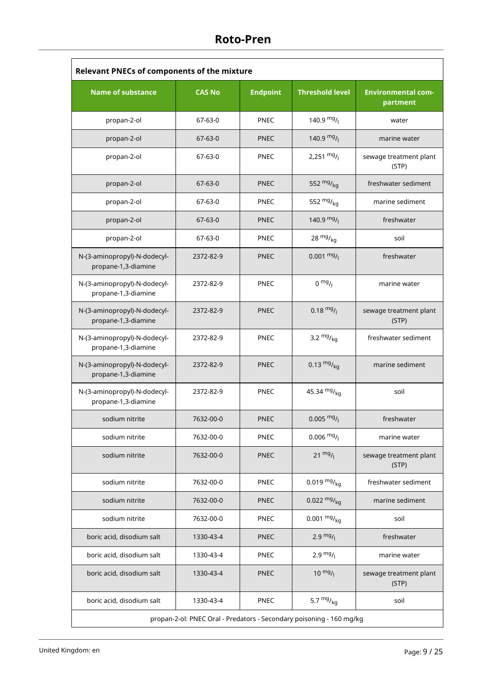| <b>Relevant PNECs of components of the mixture</b>                   |               |                 |                        |                                       |  |  |
|----------------------------------------------------------------------|---------------|-----------------|------------------------|---------------------------------------|--|--|
| <b>Name of substance</b>                                             | <b>CAS No</b> | <b>Endpoint</b> | <b>Threshold level</b> | <b>Environmental com-</b><br>partment |  |  |
| propan-2-ol                                                          | 67-63-0       | <b>PNEC</b>     | 140.9 $mg/$            | water                                 |  |  |
| propan-2-ol                                                          | 67-63-0       | <b>PNEC</b>     | 140.9 $mg/$            | marine water                          |  |  |
| propan-2-ol                                                          | 67-63-0       | <b>PNEC</b>     | 2,251 $mg/$            | sewage treatment plant<br>(STP)       |  |  |
| propan-2-ol                                                          | $67 - 63 - 0$ | <b>PNEC</b>     | 552 $mg/kq$            | freshwater sediment                   |  |  |
| propan-2-ol                                                          | 67-63-0       | <b>PNEC</b>     | 552 $mg/kq$            | marine sediment                       |  |  |
| propan-2-ol                                                          | $67 - 63 - 0$ | <b>PNEC</b>     | 140.9 $mg/$            | freshwater                            |  |  |
| propan-2-ol                                                          | 67-63-0       | <b>PNEC</b>     | $28 \frac{mg}{kg}$     | soil                                  |  |  |
| N-(3-aminopropyl)-N-dodecyl-<br>propane-1,3-diamine                  | 2372-82-9     | <b>PNEC</b>     | $0.001 \frac{mg}{l}$   | freshwater                            |  |  |
| N-(3-aminopropyl)-N-dodecyl-<br>propane-1,3-diamine                  | 2372-82-9     | <b>PNEC</b>     | $0 \frac{mg}{l}$       | marine water                          |  |  |
| N-(3-aminopropyl)-N-dodecyl-<br>propane-1,3-diamine                  | 2372-82-9     | <b>PNEC</b>     | $0.18 \frac{mg}{l}$    | sewage treatment plant<br>(STP)       |  |  |
| N-(3-aminopropyl)-N-dodecyl-<br>propane-1,3-diamine                  | 2372-82-9     | <b>PNEC</b>     | 3.2 $mg/kq$            | freshwater sediment                   |  |  |
| N-(3-aminopropyl)-N-dodecyl-<br>propane-1,3-diamine                  | 2372-82-9     | <b>PNEC</b>     | 0.13 $mg/kq$           | marine sediment                       |  |  |
| N-(3-aminopropyl)-N-dodecyl-<br>propane-1,3-diamine                  | 2372-82-9     | <b>PNEC</b>     | 45.34 $mg/kq$          | soil                                  |  |  |
| sodium nitrite                                                       | 7632-00-0     | PNEC            | $0.005 \frac{mg}{l}$   | freshwater                            |  |  |
| sodium nitrite                                                       | 7632-00-0     | PNEC            | $0.006 \frac{mg}{l}$   | marine water                          |  |  |
| sodium nitrite                                                       | 7632-00-0     | <b>PNEC</b>     | $21 \frac{mg}{l}$      | sewage treatment plant<br>(STP)       |  |  |
| sodium nitrite                                                       | 7632-00-0     | <b>PNEC</b>     | 0.019 $mg/kq$          | freshwater sediment                   |  |  |
| sodium nitrite                                                       | 7632-00-0     | <b>PNEC</b>     | $0.022 \frac{mg}{ka}$  | marine sediment                       |  |  |
| sodium nitrite                                                       | 7632-00-0     | PNEC            | $0.001 \frac{mg}{kg}$  | soil                                  |  |  |
| boric acid, disodium salt                                            | 1330-43-4     | <b>PNEC</b>     | $2.9 \frac{mg}{l}$     | freshwater                            |  |  |
| boric acid, disodium salt                                            | 1330-43-4     | <b>PNEC</b>     | $2.9 \frac{mg}{l}$     | marine water                          |  |  |
| boric acid, disodium salt                                            | 1330-43-4     | <b>PNEC</b>     | $10 \frac{mg}{l}$      | sewage treatment plant<br>(STP)       |  |  |
| boric acid, disodium salt                                            | 1330-43-4     | <b>PNEC</b>     | 5.7 $mg/kq$            | soil                                  |  |  |
| propan-2-ol: PNEC Oral - Predators - Secondary poisoning - 160 mg/kg |               |                 |                        |                                       |  |  |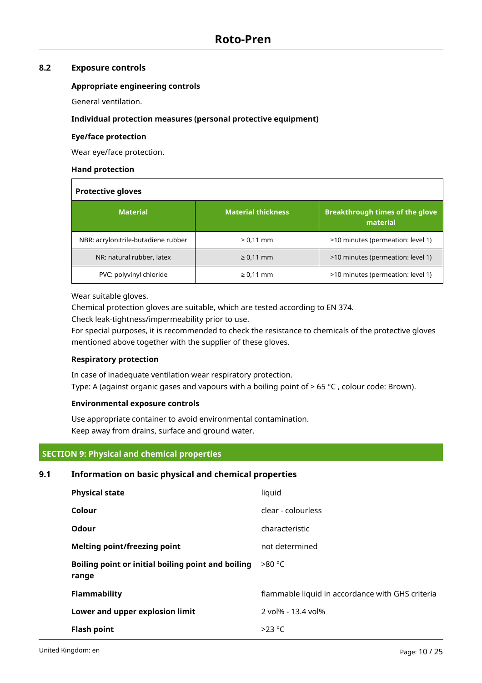# **8.2 Exposure controls**

### **Appropriate engineering controls**

General ventilation.

### **Individual protection measures (personal protective equipment)**

### **Eye/face protection**

Wear eye/face protection.

### **Hand protection**

| <b>Protective gloves</b>            |                           |                                                    |  |  |  |
|-------------------------------------|---------------------------|----------------------------------------------------|--|--|--|
| <b>Material</b>                     | <b>Material thickness</b> | <b>Breakthrough times of the glove</b><br>material |  |  |  |
| NBR: acrylonitrile-butadiene rubber | $\geq 0.11$ mm            | >10 minutes (permeation: level 1)                  |  |  |  |
| NR: natural rubber, latex           | $\geq 0.11$ mm            | >10 minutes (permeation: level 1)                  |  |  |  |
| PVC: polyvinyl chloride             | $\geq 0.11$ mm            | >10 minutes (permeation: level 1)                  |  |  |  |

Wear suitable gloves.

Chemical protection gloves are suitable, which are tested according to EN 374.

Check leak-tightness/impermeability prior to use.

For special purposes, it is recommended to check the resistance to chemicals of the protective gloves mentioned above together with the supplier of these gloves.

### **Respiratory protection**

In case of inadequate ventilation wear respiratory protection. Type: A (against organic gases and vapours with a boiling point of  $> 65 °C$ , colour code: Brown).

### **Environmental exposure controls**

Use appropriate container to avoid environmental contamination. Keep away from drains, surface and ground water.

### **SECTION 9: Physical and chemical properties**

# **9.1 Information on basic physical and chemical properties**

| <b>Physical state</b>                                       | liquid                                           |
|-------------------------------------------------------------|--------------------------------------------------|
| Colour                                                      | clear - colourless                               |
| Odour                                                       | characteristic                                   |
| <b>Melting point/freezing point</b>                         | not determined                                   |
| Boiling point or initial boiling point and boiling<br>range | $>80^{\circ}$ C                                  |
| <b>Flammability</b>                                         | flammable liquid in accordance with GHS criteria |
| Lower and upper explosion limit                             | 2 vol% - 13.4 vol%                               |
| <b>Flash point</b>                                          | $>23$ °C                                         |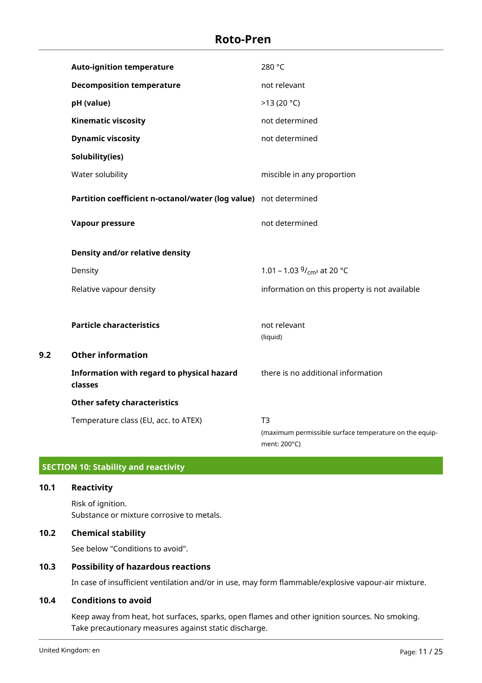|     | <b>Auto-ignition temperature</b>                                 | 280 °C                                                                                   |
|-----|------------------------------------------------------------------|------------------------------------------------------------------------------------------|
|     | <b>Decomposition temperature</b>                                 | not relevant                                                                             |
|     | pH (value)                                                       | >13(20 °C)                                                                               |
|     | <b>Kinematic viscosity</b>                                       | not determined                                                                           |
|     | <b>Dynamic viscosity</b>                                         | not determined                                                                           |
|     | Solubility(ies)                                                  |                                                                                          |
|     | Water solubility                                                 | miscible in any proportion                                                               |
|     | Partition coefficient n-octanol/water (log value) not determined |                                                                                          |
|     | Vapour pressure                                                  | not determined                                                                           |
|     | Density and/or relative density                                  |                                                                                          |
|     | Density                                                          | 1.01 – 1.03 $9/$ <sub>cm</sub> <sup>3</sup> at 20 °C                                     |
|     | Relative vapour density                                          | information on this property is not available                                            |
|     |                                                                  |                                                                                          |
|     | <b>Particle characteristics</b>                                  | not relevant<br>(liquid)                                                                 |
| 9.2 | <b>Other information</b>                                         |                                                                                          |
|     | Information with regard to physical hazard<br>classes            | there is no additional information                                                       |
|     | <b>Other safety characteristics</b>                              |                                                                                          |
|     | Temperature class (EU, acc. to ATEX)                             | T <sub>3</sub><br>(maximum permissible surface temperature on the equip-<br>ment: 200°C) |

# **SECTION 10: Stability and reactivity**

**10.1 Reactivity**

Risk of ignition. Substance or mixture corrosive to metals.

# **10.2 Chemical stability**

See below "Conditions to avoid".

# **10.3 Possibility of hazardous reactions**

In case of insufficient ventilation and/or in use, may form flammable/explosive vapour-air mixture.

# **10.4 Conditions to avoid**

Keep away from heat, hot surfaces, sparks, open flames and other ignition sources. No smoking. Take precautionary measures against static discharge.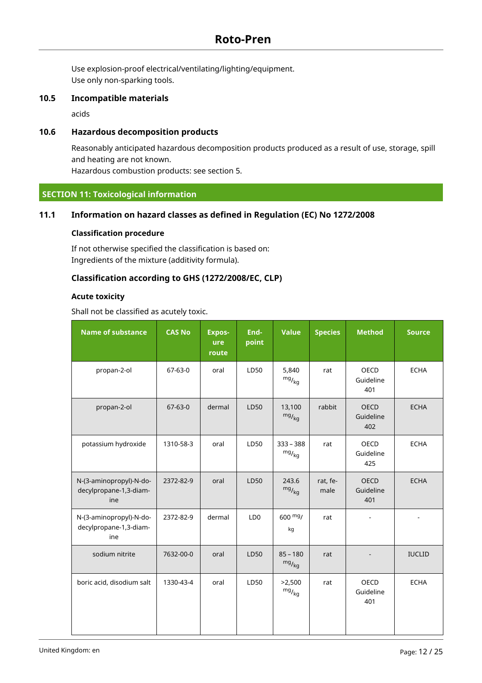Use explosion-proof electrical/ventilating/lighting/equipment. Use only non-sparking tools.

### **10.5 Incompatible materials**

acids

# **10.6 Hazardous decomposition products**

Reasonably anticipated hazardous decomposition products produced as a result of use, storage, spill and heating are not known. Hazardous combustion products: see section 5.

# **SECTION 11: Toxicological information**

## **11.1 Information on hazard classes as defined in Regulation (EC) No 1272/2008**

### **Classification procedure**

If not otherwise specified the classification is based on: Ingredients of the mixture (additivity formula).

## **Classification according to GHS (1272/2008/EC, CLP)**

### **Acute toxicity**

Shall not be classified as acutely toxic.

| <b>Name of substance</b>                                 | <b>CAS No</b> | <b>Expos-</b><br>ure<br>route | End-<br>point   | <b>Value</b>                 | <b>Species</b>   | <b>Method</b>                   | <b>Source</b> |
|----------------------------------------------------------|---------------|-------------------------------|-----------------|------------------------------|------------------|---------------------------------|---------------|
| propan-2-ol                                              | $67 - 63 - 0$ | oral                          | LD50            | 5,840<br>$mg/_{\rm kg}$      | rat              | <b>OECD</b><br>Guideline<br>401 | <b>ECHA</b>   |
| propan-2-ol                                              | $67 - 63 - 0$ | dermal                        | LD50            | 13,100<br>$mg/_{kg}$         | rabbit           | <b>OECD</b><br>Guideline<br>402 | <b>ECHA</b>   |
| potassium hydroxide                                      | 1310-58-3     | oral                          | LD50            | $333 - 388$<br>$mg/_{kg}$    | rat              | OECD<br>Guideline<br>425        | <b>ECHA</b>   |
| N-(3-aminopropyl)-N-do-<br>decylpropane-1,3-diam-<br>ine | 2372-82-9     | oral                          | LD50            | 243.6<br>$mg/$ <sub>kg</sub> | rat, fe-<br>male | OECD<br>Guideline<br>401        | <b>ECHA</b>   |
| N-(3-aminopropyl)-N-do-<br>decylpropane-1,3-diam-<br>ine | 2372-82-9     | dermal                        | LD <sub>0</sub> | $600 \frac{mg}{m}$<br>kg     | rat              |                                 |               |
| sodium nitrite                                           | 7632-00-0     | oral                          | LD50            | $85 - 180$<br>$mg/_{kg}$     | rat              |                                 | <b>IUCLID</b> |
| boric acid, disodium salt                                | 1330-43-4     | oral                          | LD50            | >2,500<br>$mg/_{\rm kg}$     | rat              | <b>OECD</b><br>Guideline<br>401 | <b>ECHA</b>   |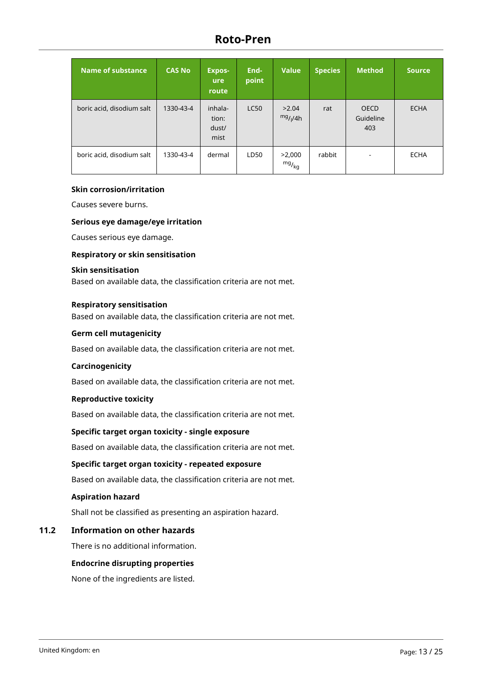| Name of substance         | <b>CAS No</b> | <b>Expos-</b><br><b>ure</b><br>route | End-<br>point | <b>Value</b>                  | <b>Species</b> | <b>Method</b>                   | <b>Source</b> |
|---------------------------|---------------|--------------------------------------|---------------|-------------------------------|----------------|---------------------------------|---------------|
| boric acid, disodium salt | 1330-43-4     | inhala-<br>tion:<br>dust/<br>mist    | <b>LC50</b>   | >2.04<br>mg/1/4h              | rat            | <b>OECD</b><br>Guideline<br>403 | <b>ECHA</b>   |
| boric acid, disodium salt | 1330-43-4     | dermal                               | LD50          | >2,000<br>$mg/$ <sub>kg</sub> | rabbit         |                                 | <b>ECHA</b>   |

#### **Skin corrosion/irritation**

Causes severe burns.

#### **Serious eye damage/eye irritation**

Causes serious eye damage.

#### **Respiratory or skin sensitisation**

### **Skin sensitisation**

Based on available data, the classification criteria are not met.

#### **Respiratory sensitisation**

Based on available data, the classification criteria are not met.

#### **Germ cell mutagenicity**

Based on available data, the classification criteria are not met.

#### **Carcinogenicity**

Based on available data, the classification criteria are not met.

#### **Reproductive toxicity**

Based on available data, the classification criteria are not met.

### **Specific target organ toxicity - single exposure**

Based on available data, the classification criteria are not met.

#### **Specific target organ toxicity - repeated exposure**

Based on available data, the classification criteria are not met.

### **Aspiration hazard**

Shall not be classified as presenting an aspiration hazard.

### **11.2 Information on other hazards**

There is no additional information.

### **Endocrine disrupting properties**

None of the ingredients are listed.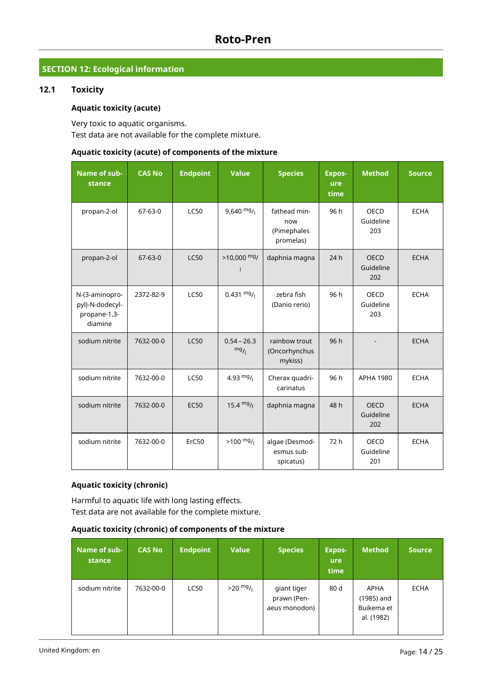# **SECTION 12: Ecological information**

# **12.1 Toxicity**

## **Aquatic toxicity (acute)**

Very toxic to aquatic organisms. Test data are not available for the complete mixture.

### **Aquatic toxicity (acute) of components of the mixture**

| Name of sub-<br>stance                                       | <b>CAS No</b> | <b>Endpoint</b> | <b>Value</b>         | <b>Species</b>                                  | <b>Expos-</b><br>ure<br>time | <b>Method</b>                   | <b>Source</b> |
|--------------------------------------------------------------|---------------|-----------------|----------------------|-------------------------------------------------|------------------------------|---------------------------------|---------------|
| propan-2-ol                                                  | $67 - 63 - 0$ | <b>LC50</b>     | $9,640$ mg/          | fathead min-<br>now<br>(Pimephales<br>promelas) | 96 h                         | OECD<br>Guideline<br>203        | <b>ECHA</b>   |
| propan-2-ol                                                  | $67 - 63 - 0$ | <b>LC50</b>     | $>10,000$ mg/<br>I.  | daphnia magna                                   | 24 h                         | <b>OECD</b><br>Guideline<br>202 | <b>ECHA</b>   |
| N-(3-aminopro-<br>pyl)-N-dodecyl-<br>propane-1,3-<br>diamine | 2372-82-9     | <b>LC50</b>     | $0.431 \frac{mg}{l}$ | zebra fish<br>(Danio rerio)                     | 96 h                         | <b>OECD</b><br>Guideline<br>203 | <b>ECHA</b>   |
| sodium nitrite                                               | 7632-00-0     | <b>LC50</b>     | $0.54 - 26.3$<br>mg/ | rainbow trout<br>(Oncorhynchus<br>mykiss)       | 96 h                         |                                 | <b>ECHA</b>   |
| sodium nitrite                                               | 7632-00-0     | <b>LC50</b>     | 4.93 $mg/$           | Cherax quadri-<br>carinatus                     | 96 h                         | <b>APHA 1980</b>                | <b>ECHA</b>   |
| sodium nitrite                                               | 7632-00-0     | <b>EC50</b>     | 15.4 $mg/$           | daphnia magna                                   | 48 h                         | <b>OECD</b><br>Guideline<br>202 | <b>ECHA</b>   |
| sodium nitrite                                               | 7632-00-0     | ErC50           | $>100$ mg/           | algae (Desmod-<br>esmus sub-<br>spicatus)       | 72 h                         | <b>OECD</b><br>Guideline<br>201 | <b>ECHA</b>   |

## **Aquatic toxicity (chronic)**

Harmful to aquatic life with long lasting effects. Test data are not available for the complete mixture.

# **Aquatic toxicity (chronic) of components of the mixture**

| Name of sub-<br>stance | <b>CAS No</b> | <b>Endpoint</b> | <b>Value</b> | <b>Species</b>                              | <b>Expos-</b><br><b>ure</b><br>time | <b>Method</b>                                  | <b>Source</b> |
|------------------------|---------------|-----------------|--------------|---------------------------------------------|-------------------------------------|------------------------------------------------|---------------|
| sodium nitrite         | 7632-00-0     | <b>LC50</b>     | $>20$ mg/    | giant tiger<br>prawn (Pen-<br>aeus monodon) | 80 d                                | APHA<br>(1985) and<br>Buikema et<br>al. (1982) | <b>ECHA</b>   |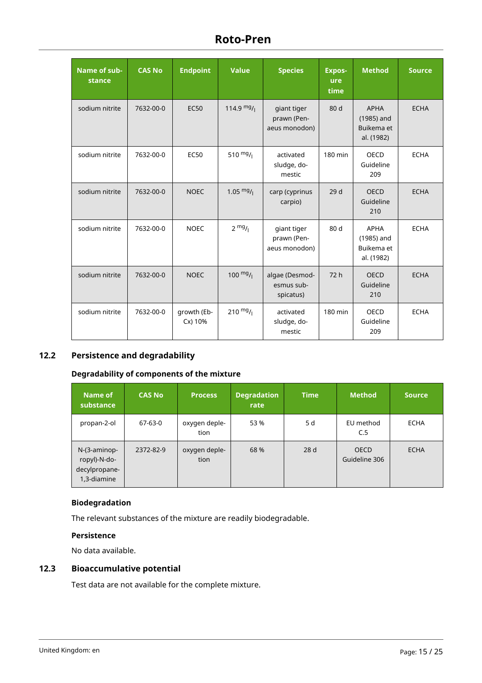| Name of sub-<br>stance | <b>CAS No</b> | <b>Endpoint</b>        | <b>Value</b>       | <b>Species</b>                              | Expos-<br>ure<br>time | <b>Method</b>                                         | <b>Source</b> |
|------------------------|---------------|------------------------|--------------------|---------------------------------------------|-----------------------|-------------------------------------------------------|---------------|
| sodium nitrite         | 7632-00-0     | <b>EC50</b>            | 114.9 $mg/$        | giant tiger<br>prawn (Pen-<br>aeus monodon) | 80 d                  | <b>APHA</b><br>(1985) and<br>Buikema et<br>al. (1982) | <b>ECHA</b>   |
| sodium nitrite         | 7632-00-0     | <b>EC50</b>            | 510 $mg/$          | activated<br>sludge, do-<br>mestic          | 180 min               | OECD<br>Guideline<br>209                              | <b>ECHA</b>   |
| sodium nitrite         | 7632-00-0     | <b>NOEC</b>            | 1.05 $mg/$         | carp (cyprinus<br>carpio)                   | 29 d                  | <b>OECD</b><br>Guideline<br>210                       | <b>ECHA</b>   |
| sodium nitrite         | 7632-00-0     | <b>NOEC</b>            | $2 \frac{mg}{l}$   | giant tiger<br>prawn (Pen-<br>aeus monodon) | 80 d                  | <b>APHA</b><br>(1985) and<br>Buikema et<br>al. (1982) | <b>ECHA</b>   |
| sodium nitrite         | 7632-00-0     | <b>NOEC</b>            | $100 \frac{mg}{l}$ | algae (Desmod-<br>esmus sub-<br>spicatus)   | 72 h                  | <b>OECD</b><br>Guideline<br>210                       | <b>ECHA</b>   |
| sodium nitrite         | 7632-00-0     | growth (Eb-<br>Cx) 10% | 210 $mg/$          | activated<br>sludge, do-<br>mestic          | 180 min               | <b>OECD</b><br>Guideline<br>209                       | <b>ECHA</b>   |

# **12.2 Persistence and degradability**

## **Degradability of components of the mixture**

| Name of<br>substance                                            | <b>CAS No</b> | <b>Process</b>        | <b>Degradation</b><br>rate | <b>Time</b> | <b>Method</b>                | <b>Source</b> |
|-----------------------------------------------------------------|---------------|-----------------------|----------------------------|-------------|------------------------------|---------------|
| propan-2-ol                                                     | 67-63-0       | oxygen deple-<br>tion | 53 %                       | 5 d         | EU method<br>C.5             | <b>ECHA</b>   |
| $N-(3-aminop-)$<br>ropyl)-N-do-<br>decylpropane-<br>1,3-diamine | 2372-82-9     | oxygen deple-<br>tion | 68 %                       | 28 d        | <b>OECD</b><br>Guideline 306 | <b>ECHA</b>   |

# **Biodegradation**

The relevant substances of the mixture are readily biodegradable.

### **Persistence**

No data available.

# **12.3 Bioaccumulative potential**

Test data are not available for the complete mixture.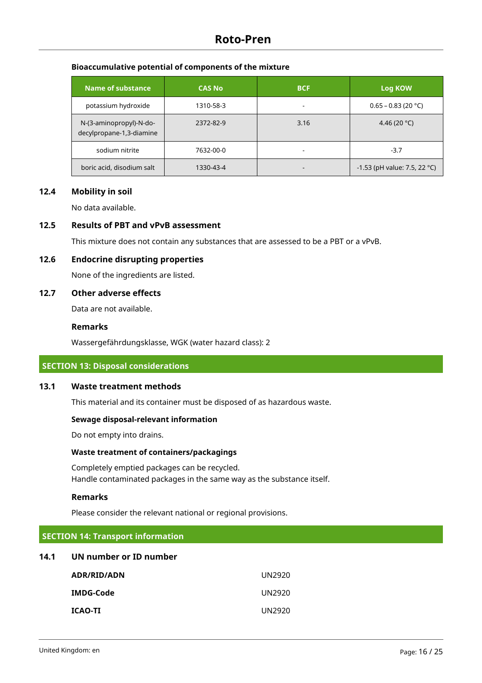## **Bioaccumulative potential of components of the mixture**

| Name of substance                                   | <b>CAS No</b> | <b>BCF</b>               | Log KOW                      |
|-----------------------------------------------------|---------------|--------------------------|------------------------------|
| potassium hydroxide                                 | 1310-58-3     | $\overline{\phantom{a}}$ | $0.65 - 0.83$ (20 °C)        |
| N-(3-aminopropyl)-N-do-<br>decylpropane-1,3-diamine | 2372-82-9     | 3.16                     | 4.46 (20 °C)                 |
| sodium nitrite                                      | 7632-00-0     | $\overline{\phantom{a}}$ | $-3.7$                       |
| boric acid, disodium salt                           | 1330-43-4     | $\overline{\phantom{a}}$ | -1.53 (pH value: 7.5, 22 °C) |

# **12.4 Mobility in soil**

No data available.

### **12.5 Results of PBT and vPvB assessment**

This mixture does not contain any substances that are assessed to be a PBT or a vPvB.

### **12.6 Endocrine disrupting properties**

None of the ingredients are listed.

### **12.7 Other adverse effects**

Data are not available.

### **Remarks**

Wassergefährdungsklasse, WGK (water hazard class): 2

#### **SECTION 13: Disposal considerations**

## **13.1 Waste treatment methods**

This material and its container must be disposed of as hazardous waste.

#### **Sewage disposal-relevant information**

Do not empty into drains.

#### **Waste treatment of containers/packagings**

Completely emptied packages can be recycled. Handle contaminated packages in the same way as the substance itself.

#### **Remarks**

Please consider the relevant national or regional provisions.

### **SECTION 14: Transport information**

### **14.1 UN number or ID number**

| ADR/RID/ADN      | UN2920 |
|------------------|--------|
| <b>IMDG-Code</b> | UN2920 |
| <b>ICAO-TI</b>   | UN2920 |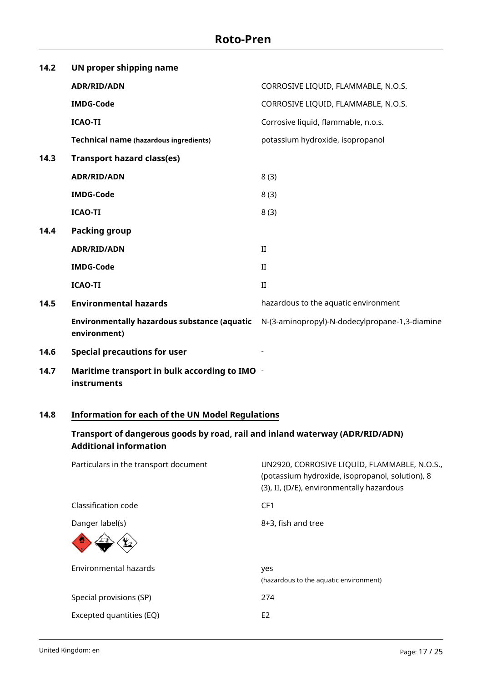| 14.2 | UN proper shipping name                                             |                                                |
|------|---------------------------------------------------------------------|------------------------------------------------|
|      | <b>ADR/RID/ADN</b>                                                  | CORROSIVE LIQUID, FLAMMABLE, N.O.S.            |
|      | <b>IMDG-Code</b>                                                    | CORROSIVE LIQUID, FLAMMABLE, N.O.S.            |
|      | <b>ICAO-TI</b>                                                      | Corrosive liquid, flammable, n.o.s.            |
|      | <b>Technical name (hazardous ingredients)</b>                       | potassium hydroxide, isopropanol               |
| 14.3 | <b>Transport hazard class(es)</b>                                   |                                                |
|      | <b>ADR/RID/ADN</b>                                                  | 8(3)                                           |
|      | <b>IMDG-Code</b>                                                    | 8(3)                                           |
|      | <b>ICAO-TI</b>                                                      | 8(3)                                           |
| 14.4 | <b>Packing group</b>                                                |                                                |
|      | <b>ADR/RID/ADN</b>                                                  | $\rm II$                                       |
|      | <b>IMDG-Code</b>                                                    | $_{\rm II}$                                    |
|      | <b>ICAO-TI</b>                                                      | $\rm II$                                       |
| 14.5 | <b>Environmental hazards</b>                                        | hazardous to the aquatic environment           |
|      | <b>Environmentally hazardous substance (aquatic</b><br>environment) | N-(3-aminopropyl)-N-dodecylpropane-1,3-diamine |
| 14.6 | <b>Special precautions for user</b>                                 |                                                |
| 14.7 | Maritime transport in bulk according to IMO -<br>instruments        |                                                |

# **14.8 Information for each of the UN Model Regulations**

# **Transport of dangerous goods by road, rail and inland waterway (ADR/RID/ADN) Additional information**

| Particulars in the transport document | UN2920, CORROSIVE LIQUID, FLAMMABLE, N.O.S.,<br>(potassium hydroxide, isopropanol, solution), 8<br>(3), II, (D/E), environmentally hazardous |
|---------------------------------------|----------------------------------------------------------------------------------------------------------------------------------------------|
| Classification code                   | CF1                                                                                                                                          |
| Danger label(s)                       | 8+3, fish and tree                                                                                                                           |
| Environmental hazards                 | yes<br>(hazardous to the aquatic environment)                                                                                                |
| Special provisions (SP)               | 274                                                                                                                                          |
| Excepted quantities (EQ)              | E <sub>2</sub>                                                                                                                               |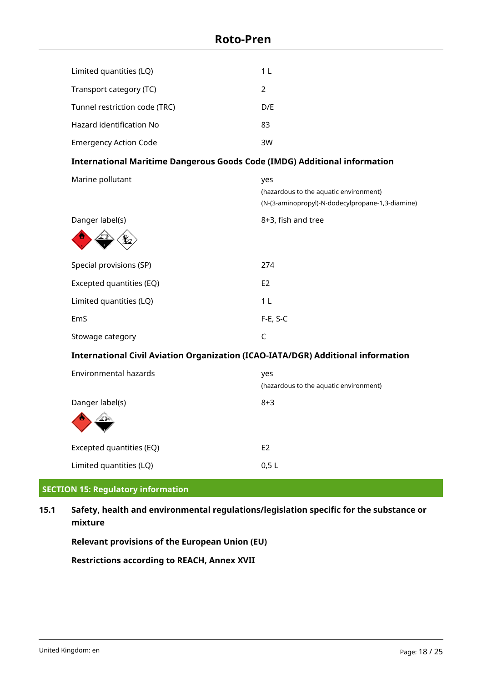| Limited quantities (LQ)                                                                 | 1 <sub>L</sub>                                                                                    |
|-----------------------------------------------------------------------------------------|---------------------------------------------------------------------------------------------------|
| Transport category (TC)                                                                 | 2                                                                                                 |
| Tunnel restriction code (TRC)                                                           | D/E                                                                                               |
| Hazard identification No                                                                | 83                                                                                                |
| <b>Emergency Action Code</b>                                                            | 3W                                                                                                |
| <b>International Maritime Dangerous Goods Code (IMDG) Additional information</b>        |                                                                                                   |
| Marine pollutant                                                                        | yes<br>(hazardous to the aquatic environment)<br>(N-(3-aminopropyl)-N-dodecylpropane-1,3-diamine) |
| Danger label(s)                                                                         | 8+3, fish and tree                                                                                |
|                                                                                         |                                                                                                   |
| Special provisions (SP)                                                                 | 274                                                                                               |
| Excepted quantities (EQ)                                                                | E <sub>2</sub>                                                                                    |
| Limited quantities (LQ)                                                                 | 1 <sub>L</sub>                                                                                    |
| EmS                                                                                     | $F-E, S-C$                                                                                        |
| Stowage category                                                                        | $\mathsf C$                                                                                       |
| <b>International Civil Aviation Organization (ICAO-IATA/DGR) Additional information</b> |                                                                                                   |
| <b>Environmental hazards</b>                                                            | yes<br>(hazardous to the aquatic environment)                                                     |
| Danger label(s)                                                                         | $8 + 3$                                                                                           |
| Excepted quantities (EQ)                                                                | E <sub>2</sub>                                                                                    |
| Limited quantities (LQ)                                                                 | 0,5L                                                                                              |

# **SECTION 15: Regulatory information**

# **15.1 Safety, health and environmental regulations/legislation specific for the substance or mixture**

**Relevant provisions of the European Union (EU)**

**Restrictions according to REACH, Annex XVII**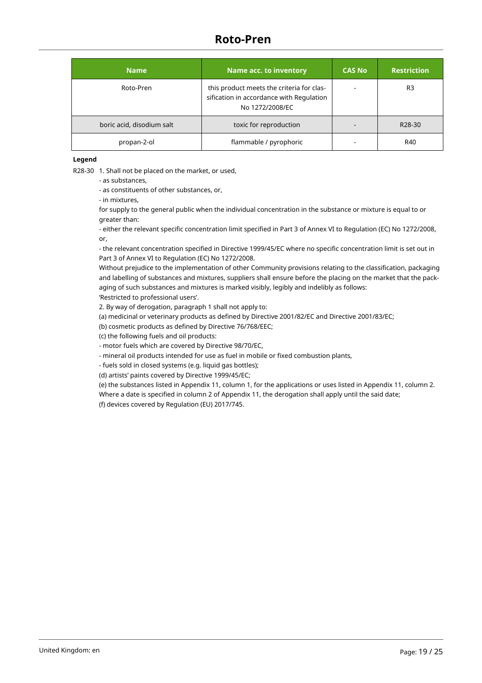| <b>Name</b>               | Name acc. to inventory                                                                                   | <b>CAS No</b> | <b>Restriction</b>  |
|---------------------------|----------------------------------------------------------------------------------------------------------|---------------|---------------------|
| Roto-Pren                 | this product meets the criteria for clas-<br>sification in accordance with Regulation<br>No 1272/2008/EC |               | R <sub>3</sub>      |
| boric acid, disodium salt | toxic for reproduction                                                                                   |               | R <sub>28</sub> -30 |
| propan-2-ol               | flammable / pyrophoric                                                                                   |               | R40                 |

**Legend**

R28-30 1. Shall not be placed on the market, or used,

- as substances,

- as constituents of other substances, or,

- in mixtures,

for supply to the general public when the individual concentration in the substance or mixture is equal to or greater than:

- either the relevant specific concentration limit specified in Part 3 of Annex VI to Regulation (EC) No 1272/2008, or,

- the relevant concentration specified in Directive 1999/45/EC where no specific concentration limit is set out in Part 3 of Annex VI to Regulation (EC) No 1272/2008.

Without prejudice to the implementation of other Community provisions relating to the classification, packaging and labelling of substances and mixtures, suppliers shall ensure before the placing on the market that the packaging of such substances and mixtures is marked visibly, legibly and indelibly as follows: 'Restricted to professional users'.

2. By way of derogation, paragraph 1 shall not apply to:

(a) medicinal or veterinary products as defined by Directive 2001/82/EC and Directive 2001/83/EC;

(b) cosmetic products as defined by Directive 76/768/EEC;

(c) the following fuels and oil products:

- motor fuels which are covered by Directive 98/70/EC,

- mineral oil products intended for use as fuel in mobile or fixed combustion plants,

- fuels sold in closed systems (e.g. liquid gas bottles);

(d) artists' paints covered by Directive 1999/45/EC;

(e) the substances listed in Appendix 11, column 1, for the applications or uses listed in Appendix 11, column 2. Where a date is specified in column 2 of Appendix 11, the derogation shall apply until the said date; (f) devices covered by Regulation (EU) 2017/745.

United Kingdom: en Page: 19 / 25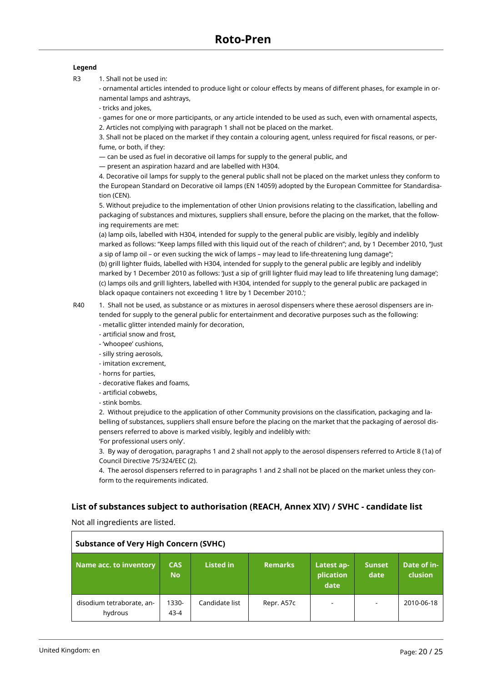#### **Legend**

R3 1. Shall not be used in:

- ornamental articles intended to produce light or colour effects by means of different phases, for example in ornamental lamps and ashtrays,

- tricks and jokes,

- games for one or more participants, or any article intended to be used as such, even with ornamental aspects, 2. Articles not complying with paragraph 1 shall not be placed on the market.

3. Shall not be placed on the market if they contain a colouring agent, unless required for fiscal reasons, or perfume, or both, if they:

— can be used as fuel in decorative oil lamps for supply to the general public, and

— present an aspiration hazard and are labelled with H304.

4. Decorative oil lamps for supply to the general public shall not be placed on the market unless they conform to the European Standard on Decorative oil lamps (EN 14059) adopted by the European Committee for Standardisation (CEN).

5. Without prejudice to the implementation of other Union provisions relating to the classification, labelling and packaging of substances and mixtures, suppliers shall ensure, before the placing on the market, that the following requirements are met:

(a) lamp oils, labelled with H304, intended for supply to the general public are visibly, legibly and indelibly marked as follows: "Keep lamps filled with this liquid out of the reach of children"; and, by 1 December 2010, "Just a sip of lamp oil – or even sucking the wick of lamps – may lead to life-threatening lung damage"; (b) grill lighter fluids, labelled with H304, intended for supply to the general public are legibly and indelibly marked by 1 December 2010 as follows: 'Just a sip of grill lighter fluid may lead to life threatening lung damage'; (c) lamps oils and grill lighters, labelled with H304, intended for supply to the general public are packaged in black opaque containers not exceeding 1 litre by 1 December 2010.';

R40 1. Shall not be used, as substance or as mixtures in aerosol dispensers where these aerosol dispensers are intended for supply to the general public for entertainment and decorative purposes such as the following: - metallic glitter intended mainly for decoration,

- artificial snow and frost,
- 'whoopee' cushions,
- silly string aerosols,
- imitation excrement,
- horns for parties,
- decorative flakes and foams,
- artificial cobwebs,
- stink bombs.

2. Without prejudice to the application of other Community provisions on the classification, packaging and labelling of substances, suppliers shall ensure before the placing on the market that the packaging of aerosol dispensers referred to above is marked visibly, legibly and indelibly with: 'For professional users only'.

3. By way of derogation, paragraphs 1 and 2 shall not apply to the aerosol dispensers referred to Article 8 (1a) of Council Directive 75/324/EEC (2).

4. The aerosol dispensers referred to in paragraphs 1 and 2 shall not be placed on the market unless they conform to the requirements indicated.

### **List of substances subject to authorisation (REACH, Annex XIV) / SVHC - candidate list**

Not all ingredients are listed.

| <b>Substance of Very High Concern (SVHC)</b> |                         |                  |                |                                 |                          |                        |
|----------------------------------------------|-------------------------|------------------|----------------|---------------------------------|--------------------------|------------------------|
| Name acc. to inventory                       | <b>CAS</b><br><b>No</b> | <b>Listed in</b> | <b>Remarks</b> | Latest ap-<br>plication<br>date | <b>Sunset</b><br>date    | Date of in-<br>clusion |
| disodium tetraborate, an-<br>hydrous         | 1330-<br>$43 - 4$       | Candidate list   | Repr. A57c     | $\overline{\phantom{a}}$        | $\overline{\phantom{a}}$ | 2010-06-18             |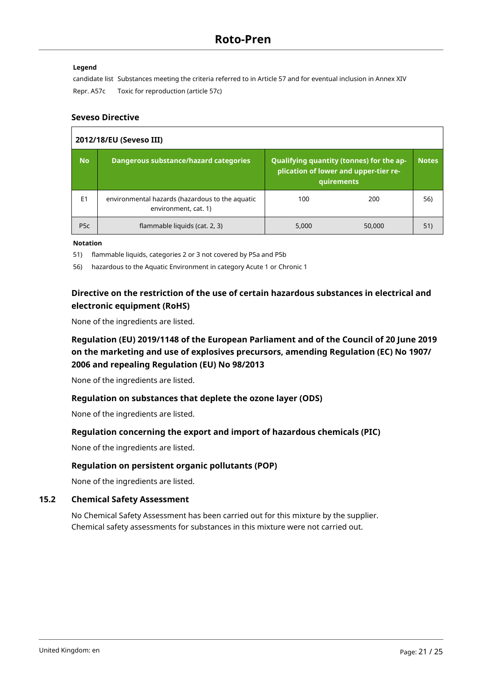### **Legend**

candidate list Substances meeting the criteria referred to in Article 57 and for eventual inclusion in Annex XIV Repr. A57c Toxic for reproduction (article 57c)

### **Seveso Directive**

| 2012/18/EU (Seveso III) |                                                                         |                                                                                                 |        |              |
|-------------------------|-------------------------------------------------------------------------|-------------------------------------------------------------------------------------------------|--------|--------------|
| <b>No</b>               | <b>Dangerous substance/hazard categories</b>                            | Qualifying quantity (tonnes) for the ap-<br>plication of lower and upper-tier re-<br>quirements |        | <b>Notes</b> |
| E1                      | environmental hazards (hazardous to the aquatic<br>environment, cat. 1) | 100                                                                                             | 200    | 56)          |
| P <sub>5</sub> c        | flammable liquids (cat. 2, 3)                                           | 5,000                                                                                           | 50,000 | 51)          |

**Notation**

51) flammable liquids, categories 2 or 3 not covered by P5a and P5b

56) hazardous to the Aquatic Environment in category Acute 1 or Chronic 1

# **Directive on the restriction of the use of certain hazardous substances in electrical and electronic equipment (RoHS)**

None of the ingredients are listed.

# **Regulation (EU) 2019/1148 of the European Parliament and of the Council of 20 June 2019 on the marketing and use of explosives precursors, amending Regulation (EC) No 1907/ 2006 and repealing Regulation (EU) No 98/2013**

None of the ingredients are listed.

# **Regulation on substances that deplete the ozone layer (ODS)**

None of the ingredients are listed.

# **Regulation concerning the export and import of hazardous chemicals (PIC)**

None of the ingredients are listed.

### **Regulation on persistent organic pollutants (POP)**

None of the ingredients are listed.

### **15.2 Chemical Safety Assessment**

No Chemical Safety Assessment has been carried out for this mixture by the supplier. Chemical safety assessments for substances in this mixture were not carried out.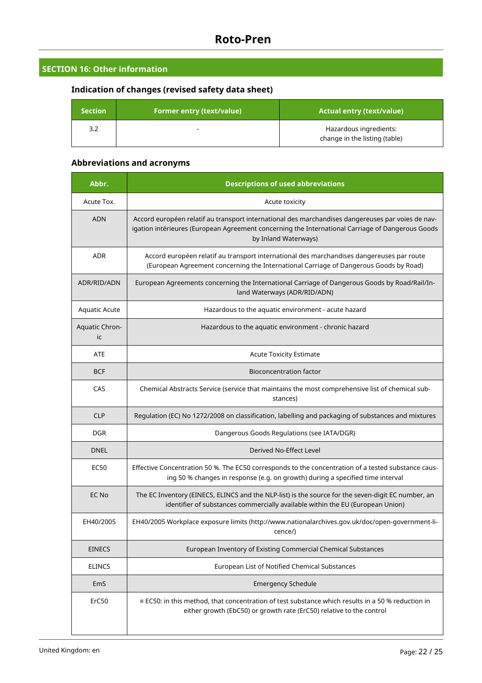# **SECTION 16: Other information**

# **Indication of changes (revised safety data sheet)**

| $\sf Section^!$ | <b>Former entry (text/value)</b> | <b>Actual entry (text/value)</b>                        |
|-----------------|----------------------------------|---------------------------------------------------------|
| 3.2             |                                  | Hazardous ingredients:<br>change in the listing (table) |

# **Abbreviations and acronyms**

| Abbr.                | <b>Descriptions of used abbreviations</b>                                                                                                                                                                                     |  |  |
|----------------------|-------------------------------------------------------------------------------------------------------------------------------------------------------------------------------------------------------------------------------|--|--|
| Acute Tox.           | Acute toxicity                                                                                                                                                                                                                |  |  |
| <b>ADN</b>           | Accord européen relatif au transport international des marchandises dangereuses par voies de nav-<br>igation intérieures (European Agreement concerning the International Carriage of Dangerous Goods<br>by Inland Waterways) |  |  |
| <b>ADR</b>           | Accord européen relatif au transport international des marchandises dangereuses par route<br>(European Agreement concerning the International Carriage of Dangerous Goods by Road)                                            |  |  |
| ADR/RID/ADN          | European Agreements concerning the International Carriage of Dangerous Goods by Road/Rail/In-<br>land Waterways (ADR/RID/ADN)                                                                                                 |  |  |
| Aquatic Acute        | Hazardous to the aquatic environment - acute hazard                                                                                                                                                                           |  |  |
| Aquatic Chron-<br>ic | Hazardous to the aquatic environment - chronic hazard                                                                                                                                                                         |  |  |
| <b>ATE</b>           | <b>Acute Toxicity Estimate</b>                                                                                                                                                                                                |  |  |
| <b>BCF</b>           | <b>Bioconcentration factor</b>                                                                                                                                                                                                |  |  |
| CAS                  | Chemical Abstracts Service (service that maintains the most comprehensive list of chemical sub-<br>stances)                                                                                                                   |  |  |
| <b>CLP</b>           | Regulation (EC) No 1272/2008 on classification, labelling and packaging of substances and mixtures                                                                                                                            |  |  |
| DGR                  | Dangerous Goods Regulations (see IATA/DGR)                                                                                                                                                                                    |  |  |
| <b>DNEL</b>          | Derived No-Effect Level                                                                                                                                                                                                       |  |  |
| <b>EC50</b>          | Effective Concentration 50 %. The EC50 corresponds to the concentration of a tested substance caus-<br>ing 50 % changes in response (e.g. on growth) during a specified time interval                                         |  |  |
| <b>EC No</b>         | The EC Inventory (EINECS, ELINCS and the NLP-list) is the source for the seven-digit EC number, an<br>identifier of substances commercially available within the EU (European Union)                                          |  |  |
| EH40/2005            | EH40/2005 Workplace exposure limits (http://www.nationalarchives.gov.uk/doc/open-government-li-<br>cence/)                                                                                                                    |  |  |
| <b>EINECS</b>        | European Inventory of Existing Commercial Chemical Substances                                                                                                                                                                 |  |  |
| <b>ELINCS</b>        | European List of Notified Chemical Substances                                                                                                                                                                                 |  |  |
| EmS                  | <b>Emergency Schedule</b>                                                                                                                                                                                                     |  |  |
| ErC50                | $\equiv$ EC50: in this method, that concentration of test substance which results in a 50 % reduction in<br>either growth (EbC50) or growth rate (ErC50) relative to the control                                              |  |  |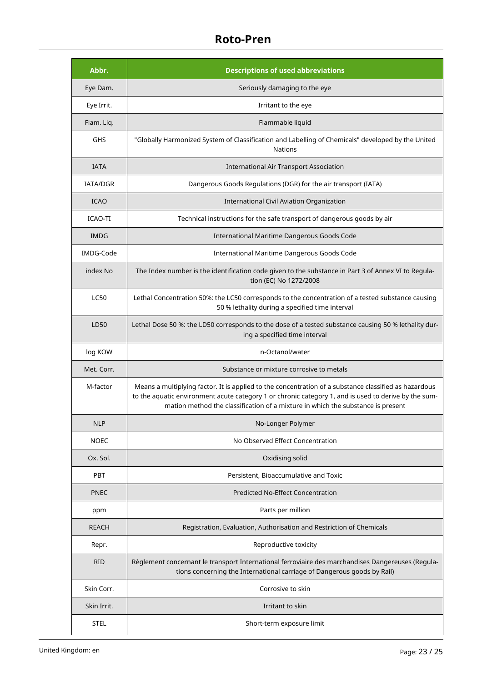| Abbr.        | <b>Descriptions of used abbreviations</b>                                                                                                                                                                                                                                                        |  |
|--------------|--------------------------------------------------------------------------------------------------------------------------------------------------------------------------------------------------------------------------------------------------------------------------------------------------|--|
| Eye Dam.     | Seriously damaging to the eye                                                                                                                                                                                                                                                                    |  |
| Eye Irrit.   | Irritant to the eye                                                                                                                                                                                                                                                                              |  |
| Flam. Liq.   | Flammable liquid                                                                                                                                                                                                                                                                                 |  |
| GHS          | "Globally Harmonized System of Classification and Labelling of Chemicals" developed by the United<br><b>Nations</b>                                                                                                                                                                              |  |
| <b>IATA</b>  | <b>International Air Transport Association</b>                                                                                                                                                                                                                                                   |  |
| IATA/DGR     | Dangerous Goods Regulations (DGR) for the air transport (IATA)                                                                                                                                                                                                                                   |  |
| <b>ICAO</b>  | International Civil Aviation Organization                                                                                                                                                                                                                                                        |  |
| ICAO-TI      | Technical instructions for the safe transport of dangerous goods by air                                                                                                                                                                                                                          |  |
| <b>IMDG</b>  | International Maritime Dangerous Goods Code                                                                                                                                                                                                                                                      |  |
| IMDG-Code    | International Maritime Dangerous Goods Code                                                                                                                                                                                                                                                      |  |
| index No     | The Index number is the identification code given to the substance in Part 3 of Annex VI to Regula-<br>tion (EC) No 1272/2008                                                                                                                                                                    |  |
| <b>LC50</b>  | Lethal Concentration 50%: the LC50 corresponds to the concentration of a tested substance causing<br>50 % lethality during a specified time interval                                                                                                                                             |  |
| LD50         | Lethal Dose 50 %: the LD50 corresponds to the dose of a tested substance causing 50 % lethality dur-<br>ing a specified time interval                                                                                                                                                            |  |
| log KOW      | n-Octanol/water                                                                                                                                                                                                                                                                                  |  |
| Met. Corr.   | Substance or mixture corrosive to metals                                                                                                                                                                                                                                                         |  |
| M-factor     | Means a multiplying factor. It is applied to the concentration of a substance classified as hazardous<br>to the aquatic environment acute category 1 or chronic category 1, and is used to derive by the sum-<br>mation method the classification of a mixture in which the substance is present |  |
| <b>NLP</b>   | No-Longer Polymer                                                                                                                                                                                                                                                                                |  |
| <b>NOEC</b>  | No Observed Effect Concentration                                                                                                                                                                                                                                                                 |  |
| Ox. Sol.     | Oxidising solid                                                                                                                                                                                                                                                                                  |  |
| PBT          | Persistent, Bioaccumulative and Toxic                                                                                                                                                                                                                                                            |  |
| <b>PNEC</b>  | <b>Predicted No-Effect Concentration</b>                                                                                                                                                                                                                                                         |  |
| ppm          | Parts per million                                                                                                                                                                                                                                                                                |  |
| <b>REACH</b> | Registration, Evaluation, Authorisation and Restriction of Chemicals                                                                                                                                                                                                                             |  |
| Repr.        | Reproductive toxicity                                                                                                                                                                                                                                                                            |  |
| <b>RID</b>   | Règlement concernant le transport International ferroviaire des marchandises Dangereuses (Regula-<br>tions concerning the International carriage of Dangerous goods by Rail)                                                                                                                     |  |
| Skin Corr.   | Corrosive to skin                                                                                                                                                                                                                                                                                |  |
| Skin Irrit.  | Irritant to skin                                                                                                                                                                                                                                                                                 |  |
| STEL         | Short-term exposure limit                                                                                                                                                                                                                                                                        |  |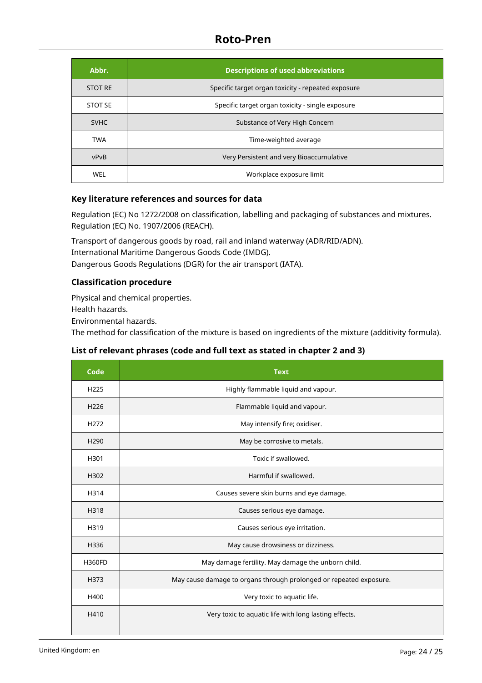| Abbr.          | <b>Descriptions of used abbreviations</b>          |  |
|----------------|----------------------------------------------------|--|
| <b>STOT RE</b> | Specific target organ toxicity - repeated exposure |  |
| <b>STOT SE</b> | Specific target organ toxicity - single exposure   |  |
| <b>SVHC</b>    | Substance of Very High Concern                     |  |
| <b>TWA</b>     | Time-weighted average                              |  |
| vPvB           | Very Persistent and very Bioaccumulative           |  |
| <b>WEL</b>     | Workplace exposure limit                           |  |

# **Key literature references and sources for data**

Regulation (EC) No 1272/2008 on classification, labelling and packaging of substances and mixtures. Regulation (EC) No. 1907/2006 (REACH).

Transport of dangerous goods by road, rail and inland waterway (ADR/RID/ADN). International Maritime Dangerous Goods Code (IMDG). Dangerous Goods Regulations (DGR) for the air transport (IATA).

# **Classification procedure**

Physical and chemical properties.

Health hazards.

Environmental hazards.

The method for classification of the mixture is based on ingredients of the mixture (additivity formula).

# **List of relevant phrases (code and full text as stated in chapter 2 and 3)**

| Code             | <b>Text</b>                                                        |  |
|------------------|--------------------------------------------------------------------|--|
| H <sub>225</sub> | Highly flammable liquid and vapour.                                |  |
| H226             | Flammable liquid and vapour.                                       |  |
| H <sub>272</sub> | May intensify fire; oxidiser.                                      |  |
| H <sub>290</sub> | May be corrosive to metals.                                        |  |
| H301             | Toxic if swallowed.                                                |  |
| H302             | Harmful if swallowed.                                              |  |
| H314             | Causes severe skin burns and eye damage.                           |  |
| H318             | Causes serious eye damage.                                         |  |
| H319             | Causes serious eye irritation.                                     |  |
| H336             | May cause drowsiness or dizziness.                                 |  |
| <b>H360FD</b>    | May damage fertility. May damage the unborn child.                 |  |
| H373             | May cause damage to organs through prolonged or repeated exposure. |  |
| H400             | Very toxic to aquatic life.                                        |  |
| H410             | Very toxic to aquatic life with long lasting effects.              |  |